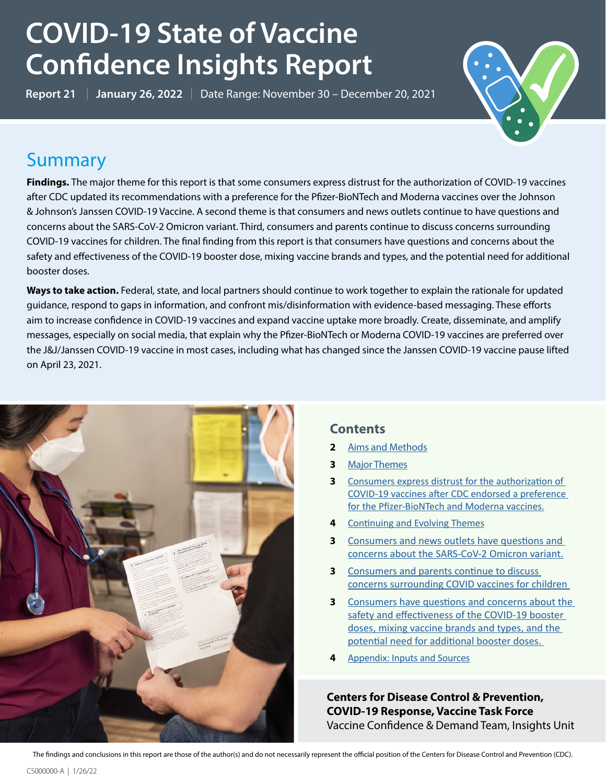# **COVID-19 State of Vaccine Confidence Insights Report**

**Report 21** | **January 26, 2022** | Date Range: November 30 – December 20, 2021



## **Summary**

**Findings.** The major theme for this report is that some consumers express distrust for the authorization of COVID-19 vaccines after CDC updated its recommendations with a preference for the Pfizer-BioNTech and Moderna vaccines over the Johnson & Johnson's Janssen COVID-19 Vaccine. A second theme is that consumers and news outlets continue to have questions and concerns about the SARS-CoV-2 Omicron variant. Third, consumers and parents continue to discuss concerns surrounding COVID-19 vaccines for children. The final finding from this report is that consumers have questions and concerns about the safety and effectiveness of the COVID-19 booster dose, mixing vaccine brands and types, and the potential need for additional booster doses.

**Ways to take action.** Federal, state, and local partners should continue to work together to explain the rationale for updated guidance, respond to gaps in information, and confront mis/disinformation with evidence-based messaging. These efforts aim to increase confidence in COVID-19 vaccines and expand vaccine uptake more broadly. Create, disseminate, and amplify messages, especially on social media, that explain why the Pfizer-BioNTech or Moderna COVID-19 vaccines are preferred over the J&J/Janssen COVID-19 vaccine in most cases, including what has changed since the Janssen COVID-19 vaccine pause lifted on April 23, 2021.



### **Contents**

- **2** [Aims and Methods](#page-1-0)
- **3** Major Themes
- **3** [Consumers express distrust for the authorization of](#page-2-0)  [COVID-19 vaccines after CDC endorsed a preference](#page-2-0)  [for the Pfizer-BioNTech and Moderna vaccines.](#page-2-0)
- **4** [Continuing and Evolving Themes](#page-3-0)
- **3** [Consumers and news outlets have questions and](#page-3-1)  [concerns about the SARS-CoV-2 Omicron variant.](#page-3-1)
- **3** [Consumers and parents continue to discuss](#page-4-0)  [concerns surrounding COVID vaccines for children](#page-4-0)
- **3** [Consumers have questions and concerns about the](#page-5-0)  safety and effectiveness of the COVID-19 booster [doses, mixing vaccine brands and types, and the](#page-5-0)  [potential need for additional booster doses.](#page-5-0)
- **4** [Appendix: Inputs and Sources](#page-6-0)

**Centers for Disease Control & Prevention, COVID-19 Response, Vaccine Task Force** Vaccine Confidence & Demand Team, Insights Unit

The findings and conclusions in this report are those of the author(s) and do not necessarily represent the official position of the Centers for Disease Control and Prevention (CDC).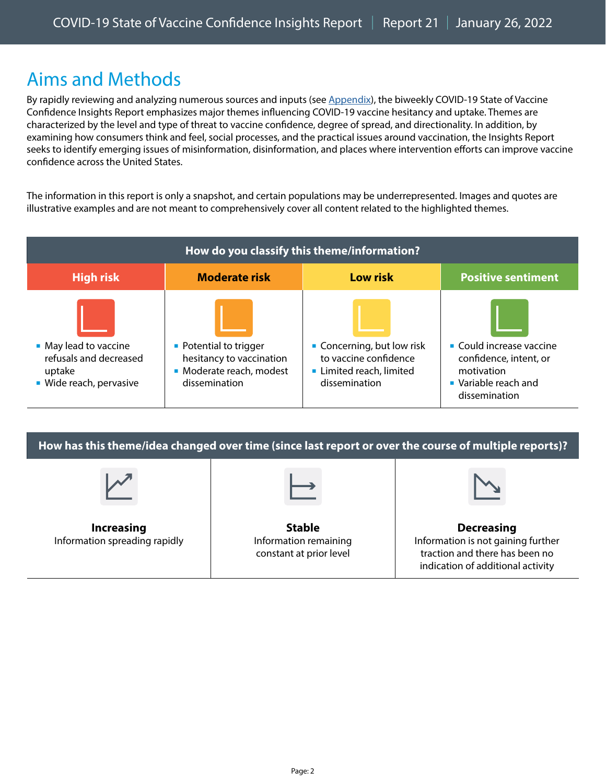# <span id="page-1-0"></span>Aims and Methods

By rapidly reviewing and analyzing numerous sources and inputs (see [Appendix\)](#page-6-0), the biweekly COVID-19 State of Vaccine Confidence Insights Report emphasizes major themes influencing COVID-19 vaccine hesitancy and uptake. Themes are characterized by the level and type of threat to vaccine confidence, degree of spread, and directionality. In addition, by examining how consumers think and feel, social processes, and the practical issues around vaccination, the Insights Report seeks to identify emerging issues of misinformation, disinformation, and places where intervention efforts can improve vaccine confidence across the United States.

The information in this report is only a snapshot, and certain populations may be underrepresented. Images and quotes are illustrative examples and are not meant to comprehensively cover all content related to the highlighted themes.

| How do you classify this theme/information?                                          |                                                                                                 |                                                                                                |                                                                                                                        |  |  |
|--------------------------------------------------------------------------------------|-------------------------------------------------------------------------------------------------|------------------------------------------------------------------------------------------------|------------------------------------------------------------------------------------------------------------------------|--|--|
| <b>High risk</b>                                                                     | <b>Moderate risk</b>                                                                            | <b>Low risk</b>                                                                                | <b>Positive sentiment</b>                                                                                              |  |  |
| • May lead to vaccine<br>refusals and decreased<br>uptake<br>• Wide reach, pervasive | • Potential to trigger<br>hesitancy to vaccination<br>• Moderate reach, modest<br>dissemination | • Concerning, but low risk<br>to vaccine confidence<br>Limited reach, limited<br>dissemination | $\blacksquare$ Could increase vaccine<br>confidence, intent, or<br>motivation<br>• Variable reach and<br>dissemination |  |  |

**How has this theme/idea changed over time (since last report or over the course of multiple reports)?** 

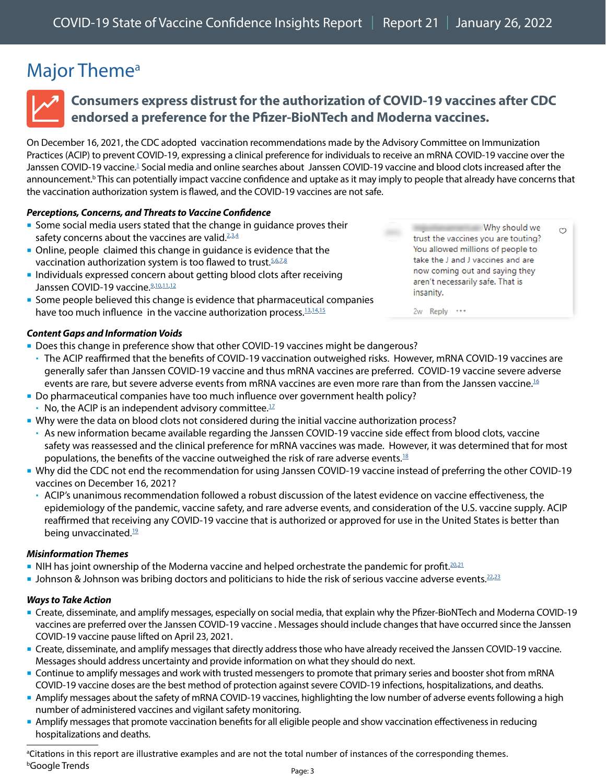# <span id="page-2-1"></span>Major Theme<sup>a</sup>



### <span id="page-2-0"></span>**Consumers express distrust for the authorization of COVID-19 vaccines after CDC endorsed a preference for the Pfizer-BioNTech and Moderna vaccines.**

On December 16, 2021, the CDC adopted vaccination recommendations made by the Advisory Committee on Immunization Practices (ACIP) to prevent COVID-19, expressing a clinical preference for individuals to receive an mRNA COVID-19 vaccine over the Janssen COVID-19 vaccine.<sup>1</sup> Social media and online searches about Janssen COVID-19 vaccine and blood clots increased after the announcement.<sup>b</sup> This can potentially impact vaccine confidence and uptake as it may imply to people that already have concerns that the vaccination authorization system is flawed, and the COVID-19 vaccines are not safe.

#### *Perceptions, Concerns, and Threats to Vaccine Confidence*

- Some social media users stated that the change in guidance proves their safety concerns about the vaccines are valid. $2,3,4$  $2,3,4$  $2,3,4$
- Online, people claimed this change in guidance is evidence that the vaccination authorization system is too flawed to trust.<sup>[5](https://www.instagram.com/p/CXg7LEOM4Y0/c/17884007039558197/)[,6](https://twitter.com/CoachLong16841/status/1471677162688233478),[7,](https://www.facebook.com/cdc/posts/280184437476335?comment_id=894811831397744&__cft__%5b0%5d=AZXCsIDTQqWAlG9t6k7gixYjzAno0aceMHNCZNw8B2avUM-HCl1y-sXmh7zK3wasobcWjwlspzp2fkM7Xqnxh4pM9Z8NI-7dyG9PopviInvsVXWkkj7D7ablvAeAXiFj24wPFbyM4QD17n25_bMcDoYj&__tn__=R%5d-R)[8](https://www.instagram.com/p/CXlwLxqMc4s/c/17917570514126682/)</sup>
- **Individuals expressed concern about getting blood clots after receiving** Janssen COVID-19 vaccine.<sup>9,[10](https://twitter.com/BobRmhenry1/status/1471728947461181442)[,11](https://twitter.com/ClayTravis/status/1471882546405429250),[12](https://twitter.com/BraBobM/status/1471762851337588737)</sup>
- **Some people believed this change is evidence that pharmaceutical companies** have too much influence in the vaccine authorization process.<sup>[13](https://twitter.com/Halfmykingdom/status/1471638317733089283)[,14](https://twitter.com/RachelBowes2021/status/1471597721865834498),[15](https://twitter.com/BobRmhenry1/status/1471897766334853120)</sup>

Why should we trust the vaccines you are touting? You allowed millions of people to take the J and J vaccines and are now coming out and saying they aren't necessarily safe. That is insanity.

 $\circ$ 

2w Reply \*\*\*

#### *Content Gaps and Information Voids*

- Does this change in preference show that other COVID-19 vaccines might be dangerous?
- The ACIP reaffirmed that the benefits of COVID-19 vaccination outweighed risks. However, mRNA COVID-19 vaccines are generally safer than Janssen COVID-19 vaccine and thus mRNA vaccines are preferred. COVID-19 vaccine severe adverse events are rare, but severe adverse events from mRNA vaccines are even more rare than from the Janssen vaccine.<sup>[16](https://www.cdc.gov/media/releases/2021/s1216-covid-19-vaccines.html)</sup>
- Do pharmaceutical companies have too much influence over government health policy?
- $\cdot$  No, the ACIP is an independent advisory committee. $17$
- Why were the data on blood clots not considered during the initial vaccine authorization process?
	- As new information became available regarding the Janssen COVID-19 vaccine side effect from blood clots, vaccine safety was reassessed and the clinical preference for mRNA vaccines was made. However, it was determined that for most populations, the benefits of the vaccine outweighed the risk of rare adverse events.<sup>[18](https://www.cdc.gov/mmwr/volumes/70/wr/mm7009e4.htm)</sup>
- Why did the CDC not end the recommendation for using Janssen COVID-19 vaccine instead of preferring the other COVID-19 vaccines on December 16, 2021?
	- ACIP's unanimous recommendation followed a robust discussion of the latest evidence on vaccine effectiveness, the epidemiology of the pandemic, vaccine safety, and rare adverse events, and consideration of the U.S. vaccine supply. ACIP reaffirmed that receiving any COVID-19 vaccine that is authorized or approved for use in the United States is better than being unvaccinated.<sup>19</sup>

#### *Misinformation Themes*

- In NIH has joint ownership of the Moderna vaccine and helped orchestrate the pandemic for profit.<sup>[20](https://dashboard.projectvctr.com/?date=12-6-2021),[21](https://twitter.com/JL227713/status/1472010853759156227)</sup>
- **Johnson & Johnson was bribing doctors and politicians to hide the risk of serious vaccine adverse events.**<sup>[22](https://twitter.com/StayPuffFiction/status/1471606533687545860),[23](https://twitter.com/joseph_stalin_2/status/1472005768236969994)</sup>

#### *Ways to Take Action*

- Create, disseminate, and amplify messages, especially on social media, that explain why the Pfizer-BioNTech and Moderna COVID-19 vaccines are preferred over the Janssen COVID-19 vaccine . Messages should include changes that have occurred since the Janssen COVID-19 vaccine pause lifted on April 23, 2021.
- Create, disseminate, and amplify messages that directly address those who have already received the Janssen COVID-19 vaccine. Messages should address uncertainty and provide information on what they should do next.
- Continue to amplify messages and work with trusted messengers to promote that primary series and booster shot from mRNA COVID-19 vaccine doses are the best method of protection against severe COVID-19 infections, hospitalizations, and deaths.
- Amplify messages about the safety of mRNA COVID-19 vaccines, highlighting the low number of adverse events following a high number of administered vaccines and vigilant safety monitoring.
- Amplify messages that promote vaccination benefits for all eligible people and show vaccination effectiveness in reducing hospitalizations and deaths.

<sup>a</sup>Citations in this report are illustrative examples and are not the total number of instances of the corresponding themes. b Google Trends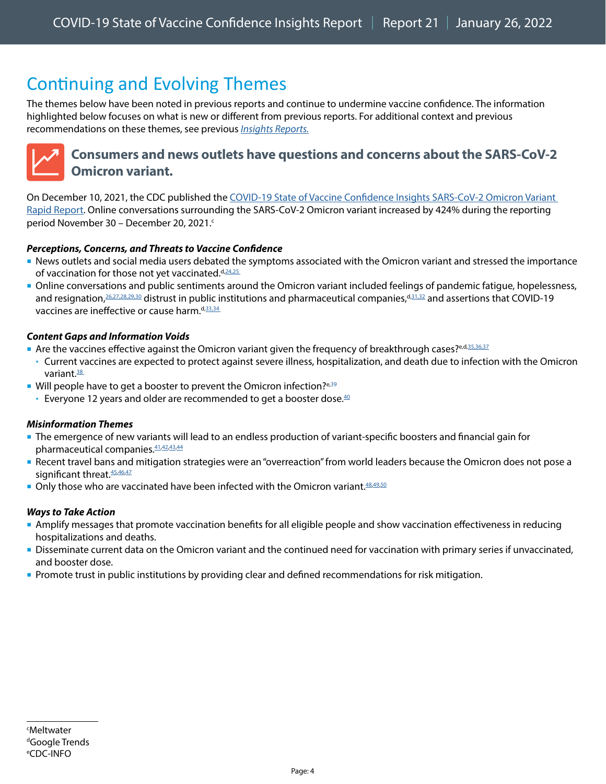# <span id="page-3-0"></span>Continuing and Evolving Themes

The themes below have been noted in previous reports and continue to undermine vaccine confidence. The information highlighted below focuses on what is new or different from previous reports. For additional context and previous recommendations on these themes, see previous *[Insights Reports.](https://www.cdc.gov/vaccines/covid-19/vaccinate-with-confidence.html#reports)*



### <span id="page-3-1"></span>**Consumers and news outlets have questions and concerns about the SARS-CoV-2 Omicron variant.**

On December 10, 2021, the CDC published the [COVID-19 State of Vaccine Confidence Insights SARS-CoV-2 Omicron Variant](https://www.cdc.gov/vaccines/covid-19/downloads/SoVC-omicron-12-10-21.pdf)  [Rapid Report](https://www.cdc.gov/vaccines/covid-19/downloads/SoVC-omicron-12-10-21.pdf). Online conversations surrounding the SARS-CoV-2 Omicron variant increased by 424% during the reporting period November 30 – December 20, 2021.<sup>c</sup>

#### *Perceptions, Concerns, and Threats to Vaccine Confidence*

- News outlets and social media users debated the symptoms associated with the Omicron variant and stressed the importance of vaccination for those not yet vaccinated.d,[24](https://www.reuters.com/world/us/covid-omicron-variant-raging-through-world-traveling-increases-risk-fauci-2021-12-19/)[,25](https://www.deseret.com/coronavirus/2021/12/19/22841139/omicron-variant-severe-covid-19-symptoms-death-for-unvaccinated)
- Online conversations and public sentiments around the Omicron variant included feelings of pandemic fatigue, hopelessness, and resignation, [26](https://www.facebook.com/cdc/posts/271983501629762?comment_id=271986748296104&__cft__%5b0%5d=AZWtFHnqGW99yHpGDySTNE35LJi_pEq5ldSz5BzA5VGqBdvPUtnioDrlY6OT43LtmchOyDKOLmYH0Q6pBB2aJ0KgyTF2Nla-pxqD6fFj0z3bsAtSN4_ngEDWPS2JLNWJVjfQZUVelhJV3NRb39WuIxAq&__tn__=R%5d-R)[,27](https://www.instagram.com/p/CXKI0l_leO5/c/17907361988335246/),[28](https://twitter.com/Disinfector/status/1469387002814484482)[,29,](https://www.monmouth.edu/polling-institute/reports/monmouthpoll_us_121521/)[30](http://theharrispoll-8654532.hs-sites.com/the-insight-latest-trends-from-the-harris-poll-3?__hstc=78454539.0badec6bd4b9b6c0555f41e9948b1477.1628187437225.1640759536913.1640781649668.22&__hssc=78454539.1.1640781649668&__hsfp=1615045989) distrust in public institutions and pharmaceutical companies, d,[31](https://twitter.com/UNREALJUST/status/1465743265358036997)[,32](https://twitter.com/ElConqu17574749/status/1469345808235520009) and assertions that COVID-19 vaccines are ineffective or cause harm. d,[33](https://www.instagram.com/p/CW6MZcwMXPU/c/18010042012361931/)[,34](https://twitter.com/AldenWagaman/status/1468020731531440130)

#### *Content Gaps and Information Voids*

- Are the vaccines effective against the Omicron variant given the frequency of breakthrough cases? e,d,[35,36,](https://www.facebook.com/cdc/posts/270398198454959?comment_id=270406038454175&__cft__%5b0%5d=AZW4CCCe1RyEGSbeJv8HmUeLnVyCiRdfp76qniP2DU5byObCT8f-4zw33erclEvzTNxmv9QobdX43U6wN4HeZ9OcEg2tMrUjNv9R9yP0nXhUiZYGQf5UFiC6RWbmNld24cYcpb7mJ--glnQBFo68USHO&__tn__=R%5d-R)[37](https://www.facebook.com/cdc/posts/278957130932399?comment_id=279339317560847&__cft__%5b0%5d=AZWpx4RYQei8AXwRcc0ovyeRia25cJKu4Oh_uK1h70I65l4YndpwW3Shej72tZ1H9luxn3Qvnuebw9QsJMSZED5i3NlWkwkZc_71eCayriycmgYqQbpgvoKOSDLJWcRSaJwp66AeAZyYPMn7rHuctv3z&__tn__=R%5d-R)
- Current vaccines are expected to protect against severe illness, hospitalization, and death due to infection with the Omicron variant $\frac{38}{2}$
- Will people have to get a booster to prevent the Omicron infection? $e^{i}$ ,  $39$ 
	- Everyone 12 years and older are recommended to get a booster dose. $40$

#### *Misinformation Themes*

- The emergence of new variants will lead to an endless production of variant-specific boosters and financial gain for pharmaceutical companies.  $41,42,43,44$  $41,42,43,44$  $41,42,43,44$  $41,42,43,44$  $41,42,43,44$
- Recent travel bans and mitigation strategies were an "overreaction" from world leaders because the Omicron does not pose a significant threat. [45](https://www.instagram.com/p/CXRNy-sNBc-/c/17910635594198057/)[,46,](https://www.instagram.com/p/CXRNy-sNBc-/c/17861518070648033/)[47](https://twitter.com/cookies6789/status/1469357781585207302)
- Only those who are vaccinated have been infected with the Omicron variant.  $48,49,50$  $48,49,50$  $48,49,50$  $48,49,50$

#### *Ways to Take Action*

- Amplify messages that promote vaccination benefits for all eligible people and show vaccination effectiveness in reducing hospitalizations and deaths.
- Disseminate current data on the Omicron variant and the continued need for vaccination with primary series if unvaccinated, and booster dose.
- **Promote trust in public institutions by providing clear and defined recommendations for risk mitigation.**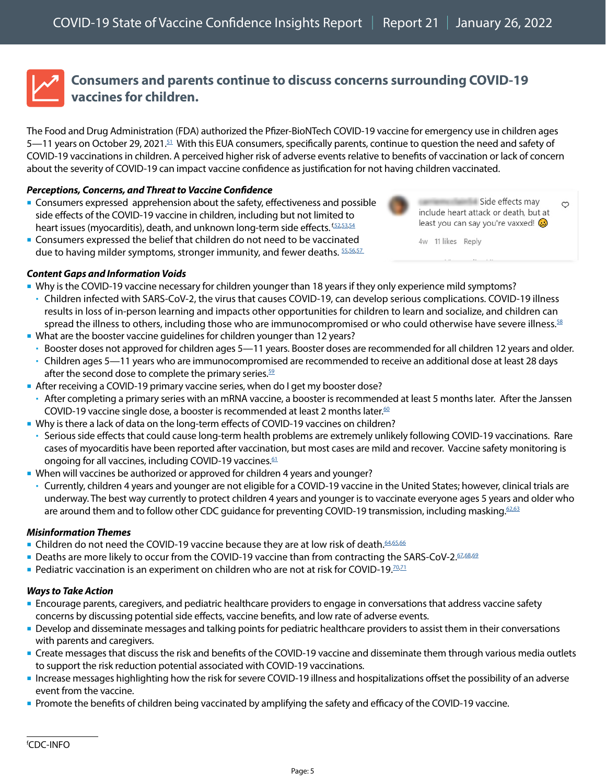

### <span id="page-4-0"></span>**Consumers and parents continue to discuss concerns surrounding COVID-19 vaccines for children.**

The Food and Drug Administration (FDA) authorized the Pfizer-BioNTech COVID-19 vaccine for emergency use in children ages 5—11 years on October 29, 2021.<sup>51</sup> With this EUA consumers, specifically parents, continue to question the need and safety of COVID-19 vaccinations in children. A perceived higher risk of adverse events relative to benefits of vaccination or lack of concern about the severity of COVID-19 can impact vaccine confidence as justification for not having children vaccinated.

#### *Perceptions, Concerns, and Threat to Vaccine Confidence*

- Consumers expressed apprehension about the safety, effectiveness and possible side effects of the COVID-19 vaccine in children, including but not limited to heart issues (myocarditis), death, and unknown long-term side effects[.](https://twitter.com/eveamk/status/1473124031683612676) **f**[52](https://www.facebook.com/cdc/posts/278934027601376?comment_id=278941887600590&__cft__%5b0%5d=AZUcd2EU1Dh5UQnk6GJY1P3O1gG-4QFWiEhjd4U7tuy2i2QJfhQ1wYJ5PD7vdV_V7KPzmjUGGUAlyHBS8pti4bt48axtctmzRN_DnphixBWjgnn--wVz69jbwaKYUnWE6Ipe5Cd0K6yqLenIkY7VCykL&__tn__=R%5d-R)[,53](https://www.instagram.com/p/CW6lh_osY87/c/18103657381284016/),[54](https://twitter.com/jonesville/status/1468429407970758658)
- Consumers expressed the belief that children do not need to be vaccinated due to having milder symptoms, stronger immunity, and fewer deaths.  $55,56,57$  $55,56,57$  $55,56,57$



Side effects may include heart attack or death, but at least you can say you're vaxxed!

 $\circ$ 

4w 11 likes Reply

- *Content Gaps and Information Voids*
- Why is the COVID-19 vaccine necessary for children younger than 18 years if they only experience mild symptoms?
	- Children infected with SARS-CoV-2, the virus that causes COVID-19, can develop serious complications. COVID-19 illness results in loss of in-person learning and impacts other opportunities for children to learn and socialize, and children can spread the illness to others, including those who are immunocompromised or who could otherwise have severe illness.<sup>[58](https://www.cdc.gov/coronavirus/2019-ncov/vaccines/recommendations/children-teens.html)</sup>
- What are the booster vaccine guidelines for children younger than 12 years?
	- Booster doses not approved for children ages 5—11 years. Booster doses are recommended for all children 12 years and older.
	- Children ages 5—11 years who are immunocompromised are recommended to receive an additional dose at least 28 days after the second dose to complete the primary series. $59$
- After receiving a COVID-19 primary vaccine series, when do I get my booster dose?
	- After completing a primary series with an mRNA vaccine, a booster is recommended at least 5 months later. After the Janssen COVID-19 vaccine single dose, a booster is recommended at least 2 months later.<sup>[60](https://www.cdc.gov/media/releases/2022/s0105-Booster-Shot.html)</sup>
- Why is there a lack of data on the long-term effects of COVID-19 vaccines on children?
- Serious side effects that could cause long-term health problems are extremely unlikely following COVID-19 vaccinations. Rare cases of myocarditis have been reported after vaccination, but most cases are mild and recover. Vaccine safety monitoring is ongoing for all vaccines, including COVID-19 vaccines.<sup>61</sup>
- When will vaccines be authorized or approved for children 4 years and younger?
	- Currently, children 4 years and younger are not eligible for a COVID-19 vaccine in the United States; however, clinical trials are underway. The best way currently to protect children 4 years and younger is to vaccinate everyone ages 5 years and older who are around them and to follow other CDC guidance for preventing COVID-19 transmission, including masking. [62,](https://www.npr.org/2021/05/17/997029362/clinical-trials-underway-for-5-and-younger-covid-19-vaccinations)[63](https://www.cdc.gov/coronavirus/2019-ncov/vaccines/recommendations/children-teens.html?CDC_AA_refVal=https%3A%2F%2Fwww.cdc.gov%2Fcoronavirus%2F2019-ncov%2Fvaccines%2Frecommendations%2Fadolescents.html)

#### *Misinformation Themes*

- **Children do not need the COVID-19 vaccine because they are at low risk of death.** [64](https://twitter.com/themouthmatusow/status/1470527664750411777)[,65,](https://www.instagram.com/p/CXR8IXeMt1L/c/17854751633671165/)[66](https://twitter.com/Humble_Analysis/status/1468459072659861506)
- Deaths are more likely to occur from the COVID-19 vaccine than from contracting the SARS-CoV-2[.67](https://www.usatoday.com/story/news/factcheck/2021/12/02/fact-check-more-children-not-die-vaccine-than-covid-19/8740405002/),[68](https://www.facebook.com/cdc/posts/269136811914431?comment_id=602171074169272&__cft__%5b0%5d=AZXeX5tkHWsj8F9ftdGgkm3DbCSWkug7ihpJVeCBXsG6TSaD9F8yTDX3ES1EVytQQ4e2HOPXDKkiP-uI4k7RqIuwI9t9fTB6thylggB0XvmtL_2msYaNMyG_eWeTxhjpvMvEytKLXYeFICJsz-ufzvgi&__tn__=R%5d-R)[,69](https://www.instagram.com/p/CXJ25l2FnnS/c/17910898151225046/)
- **Pediatric vaccination is an experiment on children who are not at risk for COVID-19.**<sup>70,[71](https://www.facebook.com/cdc/posts/269796941848418?comment_id=270121475149298&__cft__%5b0%5d=AZXPxUFm156N469ymSQoOkoimDySV-5MPz5pvdmQvROEsH38uAJiwFWca_GWiiaQygzX-H6vv_zbhEC39zlUew7COBs5qH1EXyqHsuoxrCIWUm-uGRT4hV8_MqeUz45gQVvbF5ezzaJJ3IF1JDzLClHg&__tn__=R%5d-R)</sup>

#### *Ways to Take Action*

- **Encourage parents, caregivers, and pediatric healthcare providers to engage in conversations that address vaccine safety** concerns by discussing potential side effects, vaccine benefits, and low rate of adverse events.
- **Develop and disseminate messages and talking points for pediatric healthcare providers to assist them in their conversations** with parents and caregivers.
- Create messages that discuss the risk and benefits of the COVID-19 vaccine and disseminate them through various media outlets to support the risk reduction potential associated with COVID-19 vaccinations.
- Increase messages highlighting how the risk for severe COVID-19 illness and hospitalizations offset the possibility of an adverse event from the vaccine.
- **Promote the benefits of children being vaccinated by amplifying the safety and efficacy of the COVID-19 vaccine.**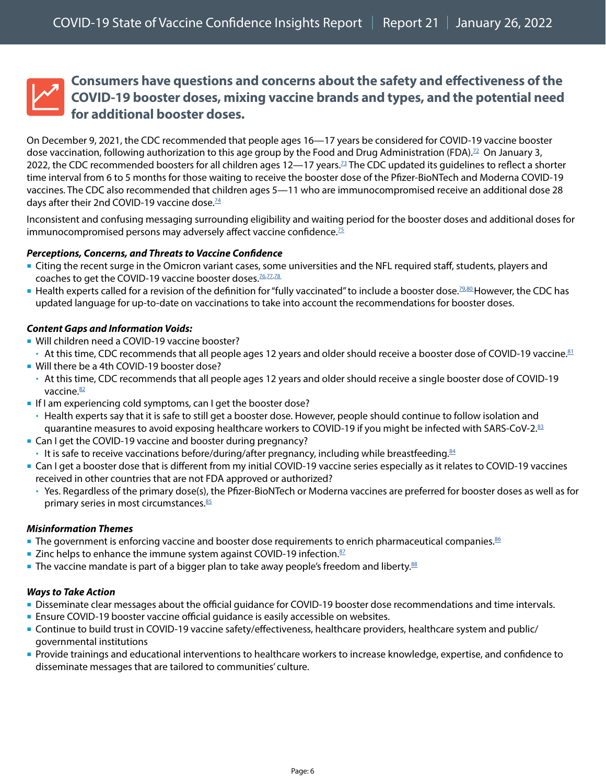### <span id="page-5-0"></span>**Consumers have questions and concerns about the safety and effectiveness of the COVID-19 booster doses, mixing vaccine brands and types, and the potential need for additional booster doses.**

On December 9, 2021, the CDC recommended that people ages 16—17 years be considered for COVID-19 vaccine booster dose vaccination, following authorization to this age group by the Food and Drug Administration (FDA).<sup>[72](https://www.fda.gov/news-events/press-announcements/coronavirus-covid-19-update-fda-expands-eligibility-pfizer-biontech-covid-19-booster-dose-16-and-17)</sup> On January 3, 2022, the CDC recommended boosters for all children ages  $12-17$  years.<sup>73</sup> The CDC updated its guidelines to reflect a shorter time interval from 6 to 5 months for those waiting to receive the booster dose of the Pfizer-BioNTech and Moderna COVID-19 vaccines. The CDC also recommended that children ages 5—11 who are immunocompromised receive an additional dose 28 days after their 2nd COVID-19 vaccine dose.<sup>[74](https://www.cdc.gov/media/releases/2022/s0104-Pfizer-Booster.html)</sup>

Inconsistent and confusing messaging surrounding eligibility and waiting period for the booster doses and additional doses for immunocompromised persons may adversely affect vaccine confidence. $75$ 

#### *Perceptions, Concerns, and Threats to Vaccine Confidence*

- Citing the recent surge in the Omicron variant cases, some universities and the NFL required staff, students, players and coaches to get the COVID-19 vaccine booster doses.<sup>76,[77,](https://www.bcheights.com/2021/12/08/university-mandates-covid19-booster-shots-for-spring-semester-globe-reports/)[78](https://news.syr.edu/blog/2021/12/06/covid-19-update-booster-shot-requirement-vaccine-compliance-for-employees-spring-semester-return-planning-and-procedures/)</sup>
- Health experts called for a revision of the definition for "fully vaccinated" to include a booster dose.<sup>[79](https://www.statnews.com/2021/12/08/changing-definition-fully-vaccinated-more-than-semantics/),[80](https://www.usnews.com/news/health-news/articles/2021-11-23/fully-vaccinated-a-booster-shot-may-become-a-requirement)</sup>However, the CDC has updated language for up-to-date on vaccinations to take into account the recommendations for booster doses.

#### *Content Gaps and Information Voids:*

- **Will children need a COVID-19 vaccine booster?**
- $\cdot$  At this time, CDC recommends that all people ages 12 years and older should receive a booster dose of COVID-19 vaccine.<sup>81</sup>
- **Will there be a 4th COVID-19 booster dose?**
- At this time, CDC recommends that all people ages 12 years and older should receive a single booster dose of COVID-19 vaccine.<sup>82</sup>
- If I am experiencing cold symptoms, can I get the booster dose?
- Health experts say that it is safe to still get a booster dose. However, people should continue to follow isolation and quarantine measures to avoid exposing healthcare workers to COVID-19 if you might be infected with SARS-CoV-2[.83](https://www.cdc.gov/coronavirus/2019-ncov/vaccines/faq.html)
- **Can I get the COVID-19 vaccine and booster during pregnancy?**
- It is safe to receive vaccinations before/during/after pregnancy, including while breastfeeding.  $84$
- Can I get a booster dose that is different from my initial COVID-19 vaccine series especially as it relates to COVID-19 vaccines received in other countries that are not FDA approved or authorized?
	- Yes. Regardless of the primary dose(s), the Pfizer-BioNTech or Moderna vaccines are preferred for booster doses as well as for primary series in most circumstances. $85$

#### *Misinformation Themes*

- **The government is enforcing vaccine and booster dose requirements to enrich pharmaceutical companies.**[86](https://twitter.com/KelseyOShay1/status/1467697869821992967)
- $\blacksquare$  Zinc helps to enhance the immune system against COVID-19 infection. $\frac{87}{2}$  $\frac{87}{2}$  $\frac{87}{2}$
- **The vaccine mandate is part of a bigger plan to take away people's freedom and liberty.**<sup>[88](https://twitter.com/kezia_noble/status/1470686366191206407)</sup>

#### *Ways to Take Action*

- Disseminate clear messages about the official guidance for COVID-19 booster dose recommendations and time intervals.
- **Ensure COVID-19 booster vaccine official guidance is easily accessible on websites.**
- Continue to build trust in COVID-19 vaccine safety/effectiveness, healthcare providers, healthcare system and public/ governmental institutions
- Provide trainings and educational interventions to healthcare workers to increase knowledge, expertise, and confidence to disseminate messages that are tailored to communities' culture.